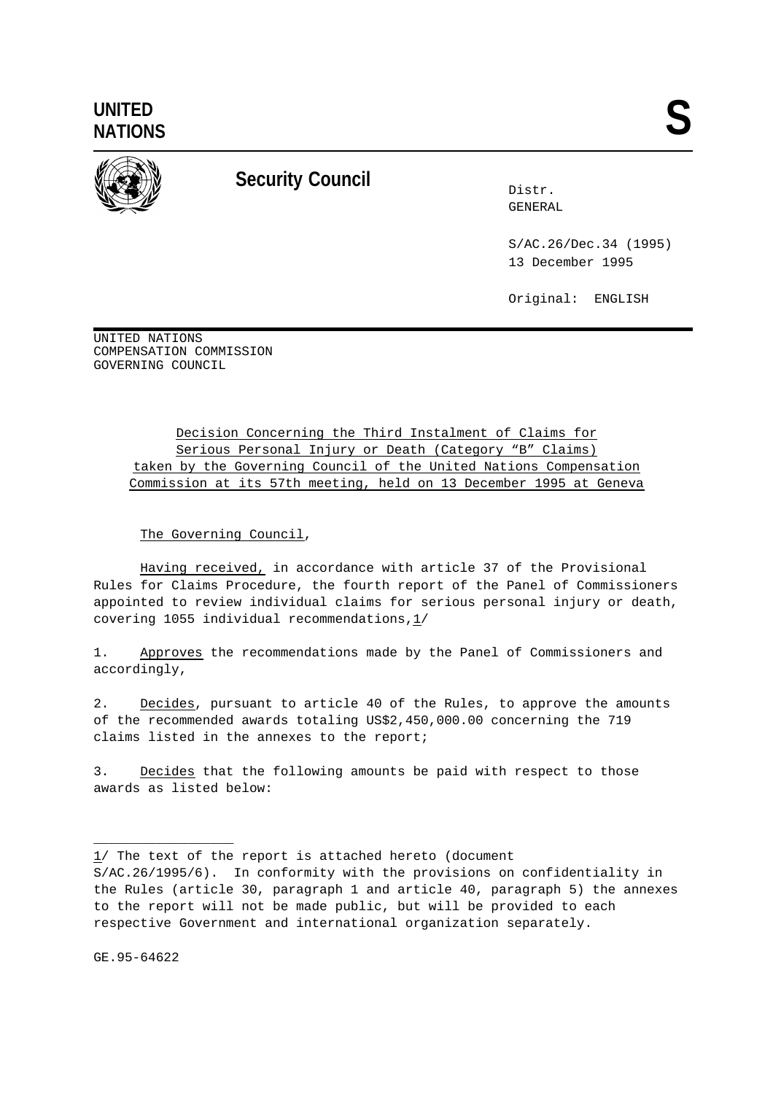**UNITED** UNITED<br>NATIONS



## **Security Council** Distr.

GENERAL

S/AC.26/Dec.34 (1995) 13 December 1995

Original: ENGLISH

UNITED NATIONS COMPENSATION COMMISSION GOVERNING COUNCIL

> Decision Concerning the Third Instalment of Claims for Serious Personal Injury or Death (Category "B" Claims) taken by the Governing Council of the United Nations Compensation Commission at its 57th meeting, held on 13 December 1995 at Geneva

The Governing Council,

Having received, in accordance with article 37 of the Provisional Rules for Claims Procedure, the fourth report of the Panel of Commissioners appointed to review individual claims for serious personal injury or death, covering 1055 individual recommendations,1/

1. Approves the recommendations made by the Panel of Commissioners and accordingly,

2. Decides, pursuant to article 40 of the Rules, to approve the amounts of the recommended awards totaling US\$2,450,000.00 concerning the 719 claims listed in the annexes to the report;

3. Decides that the following amounts be paid with respect to those awards as listed below:

GE.95-64622

\_\_\_\_\_\_\_\_\_\_\_\_\_\_\_\_\_\_

<sup>1/</sup> The text of the report is attached hereto (document S/AC.26/1995/6). In conformity with the provisions on confidentiality in the Rules (article 30, paragraph 1 and article 40, paragraph 5) the annexes to the report will not be made public, but will be provided to each respective Government and international organization separately.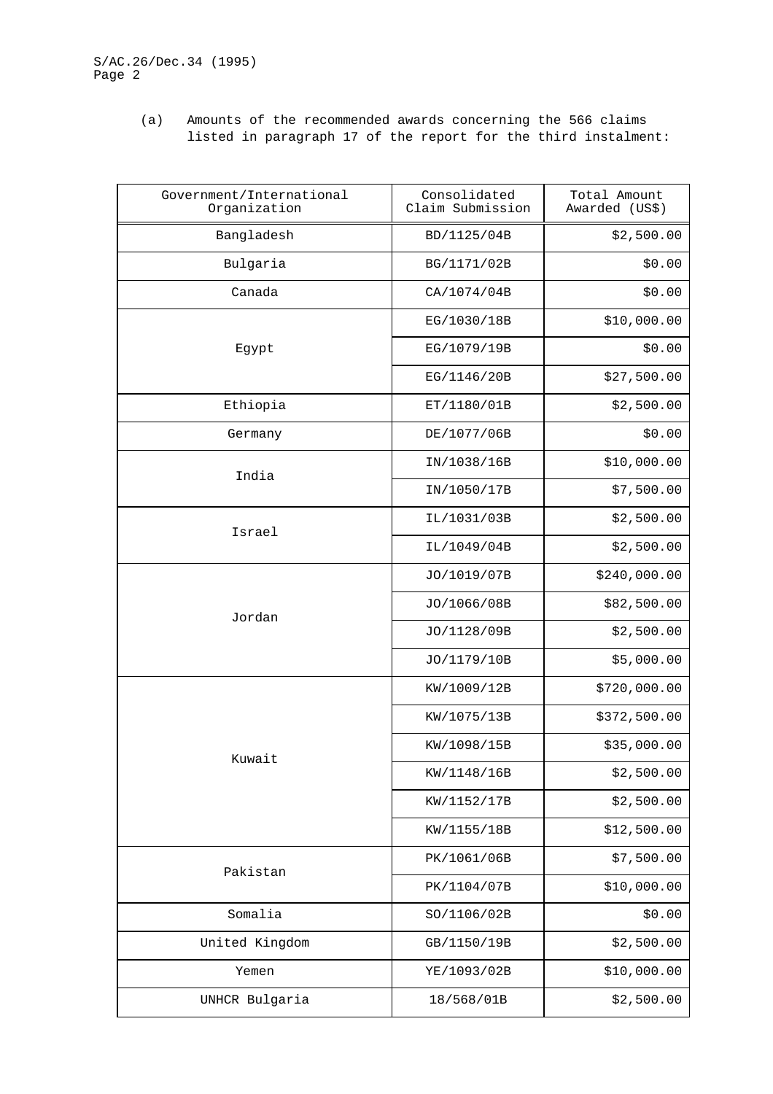(a) Amounts of the recommended awards concerning the 566 claims listed in paragraph 17 of the report for the third instalment:

| Government/International<br>Organization | Consolidated<br>Claim Submission | Total Amount<br>Awarded (US\$) |
|------------------------------------------|----------------------------------|--------------------------------|
| Bangladesh                               | BD/1125/04B                      | \$2,500.00                     |
| Bulgaria                                 | BG/1171/02B                      | \$0.00                         |
| Canada                                   | CA/1074/04B                      | \$0.00                         |
|                                          | EG/1030/18B                      | \$10,000.00                    |
| Egypt                                    | EG/1079/19B                      | \$0.00                         |
|                                          | EG/1146/20B                      | \$27,500.00                    |
| Ethiopia                                 | ET/1180/01B                      | \$2,500.00                     |
| Germany                                  | DE/1077/06B                      | \$0.00                         |
| India                                    | IN/1038/16B                      | \$10,000.00                    |
|                                          | IN/1050/17B                      | \$7,500.00                     |
| Israel                                   | IL/1031/03B                      | \$2,500.00                     |
|                                          | IL/1049/04B                      | \$2,500.00                     |
|                                          | JO/1019/07B                      | \$240,000.00                   |
| Jordan                                   | JO/1066/08B                      | \$82,500.00                    |
|                                          | JO/1128/09B                      | \$2,500.00                     |
|                                          | JO/1179/10B                      | \$5,000.00                     |
|                                          | KW/1009/12B                      | \$720,000.00                   |
|                                          | KW/1075/13B                      | \$372,500.00                   |
| Kuwait                                   | KW/1098/15B                      | \$35,000.00                    |
|                                          | KW/1148/16B                      | \$2,500.00                     |
|                                          | KW/1152/17B                      | \$2,500.00                     |
|                                          | KW/1155/18B                      | \$12,500.00                    |
| Pakistan                                 | PK/1061/06B                      | \$7,500.00                     |
|                                          | PK/1104/07B                      | \$10,000.00                    |
| Somalia                                  | SO/1106/02B                      | \$0.00                         |
| United Kingdom                           | GB/1150/19B                      | \$2,500.00                     |
| Yemen                                    | YE/1093/02B                      | \$10,000.00                    |
| UNHCR Bulgaria                           | 18/568/01B                       | \$2,500.00                     |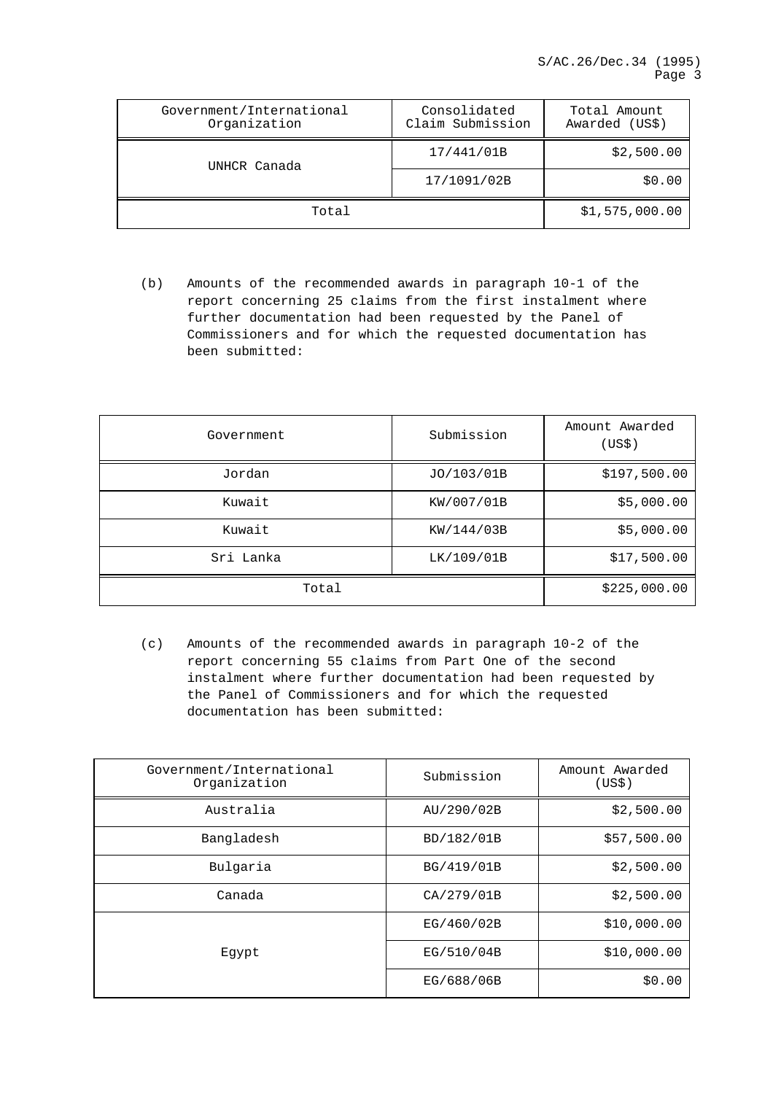| Government/International<br>Organization | Consolidated<br>Claim Submission | Total Amount<br>Awarded (US\$) |
|------------------------------------------|----------------------------------|--------------------------------|
| UNHCR Canada                             | 17/441/01B                       | \$2,500.00                     |
|                                          | 17/1091/02B                      | \$0.00                         |
| Total                                    |                                  | \$1,575,000.00                 |

(b) Amounts of the recommended awards in paragraph 10-1 of the report concerning 25 claims from the first instalment where further documentation had been requested by the Panel of Commissioners and for which the requested documentation has been submitted:

| Government | Submission | Amount Awarded<br>(US\$) |
|------------|------------|--------------------------|
| Jordan     | JO/103/01B | \$197,500.00             |
| Kuwait     | KW/007/01B | \$5,000.00               |
| Kuwait     | KW/144/03B | \$5,000.00               |
| Sri Lanka  | LK/109/01B | \$17,500.00              |
| Total      |            | \$225,000.00             |

(c) Amounts of the recommended awards in paragraph 10-2 of the report concerning 55 claims from Part One of the second instalment where further documentation had been requested by the Panel of Commissioners and for which the requested documentation has been submitted:

| Government/International<br>Organization | Submission | Amount Awarded<br>(US\$) |
|------------------------------------------|------------|--------------------------|
| Australia                                | AU/290/02B | \$2,500.00               |
| Bangladesh                               | BD/182/01B | \$57,500.00              |
| Bulgaria                                 | BG/419/01B | \$2,500.00               |
| Canada                                   | CA/279/01B | \$2,500.00               |
|                                          | EG/460/02B | \$10,000.00              |
| Eqypt                                    | EG/510/04B | \$10,000.00              |
|                                          | EG/688/06B | \$0.00                   |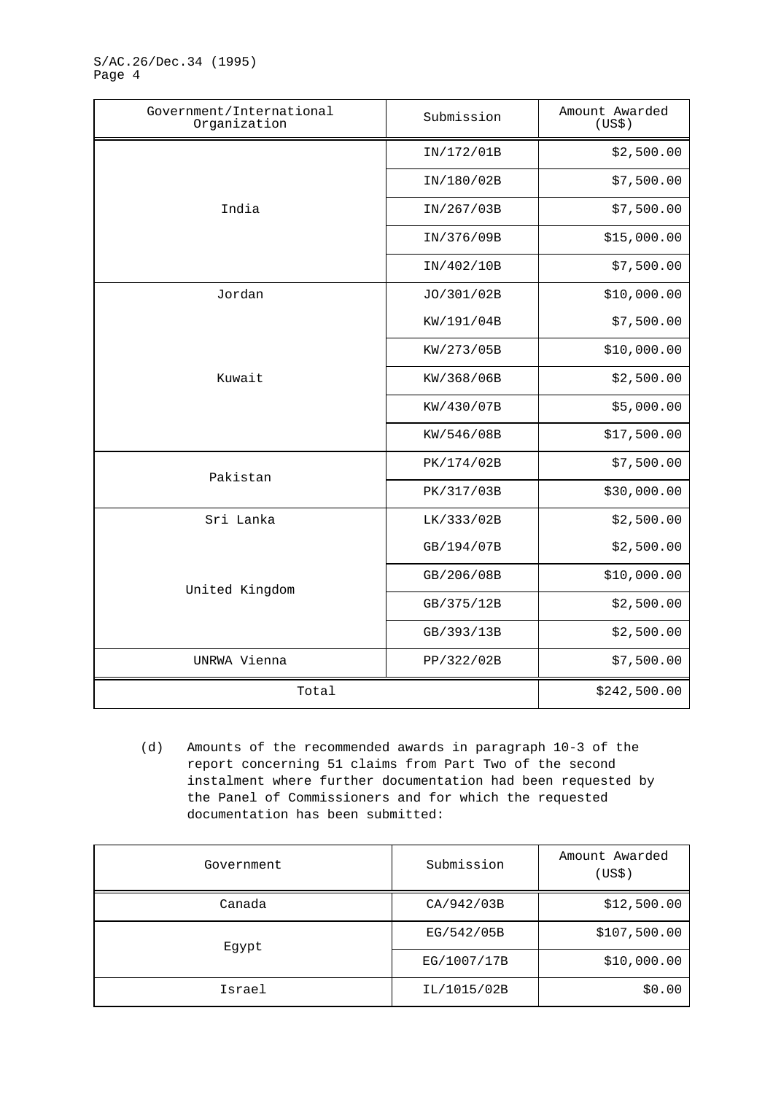S/AC.26/Dec.34 (1995) Page 4

| Government/International<br>Organization | Submission | Amount Awarded<br>(US\$) |
|------------------------------------------|------------|--------------------------|
|                                          | IN/172/01B | \$2,500.00               |
|                                          | IN/180/02B | \$7,500.00               |
| India                                    | IN/267/03B | \$7,500.00               |
|                                          | IN/376/09B | \$15,000.00              |
|                                          | IN/402/10B | \$7,500.00               |
| Jordan                                   | JO/301/02B | \$10,000.00              |
|                                          | KW/191/04B | \$7,500.00               |
|                                          | KW/273/05B | \$10,000.00              |
| Kuwait                                   | KW/368/06B | \$2,500.00               |
|                                          | KW/430/07B | \$5,000.00               |
|                                          | KW/546/08B | \$17,500.00              |
| Pakistan                                 | PK/174/02B | \$7,500.00               |
|                                          | PK/317/03B | \$30,000.00              |
| Sri Lanka                                | LK/333/02B | \$2,500.00               |
| United Kingdom                           | GB/194/07B | \$2,500.00               |
|                                          | GB/206/08B | \$10,000.00              |
|                                          | GB/375/12B | \$2,500.00               |
|                                          | GB/393/13B | \$2,500.00               |
| UNRWA Vienna                             | PP/322/02B | \$7,500.00               |
| Total                                    |            | \$242,500.00             |

(d) Amounts of the recommended awards in paragraph 10-3 of the report concerning 51 claims from Part Two of the second instalment where further documentation had been requested by the Panel of Commissioners and for which the requested documentation has been submitted:

| Government | Submission  | Amount Awarded<br>(US\$) |
|------------|-------------|--------------------------|
| Canada     | CA/942/03B  | \$12,500.00              |
| Eqypt      | EG/542/05B  | \$107,500.00             |
|            | EG/1007/17B | \$10,000.00              |
| Israel     | IL/1015/02B | \$0.00                   |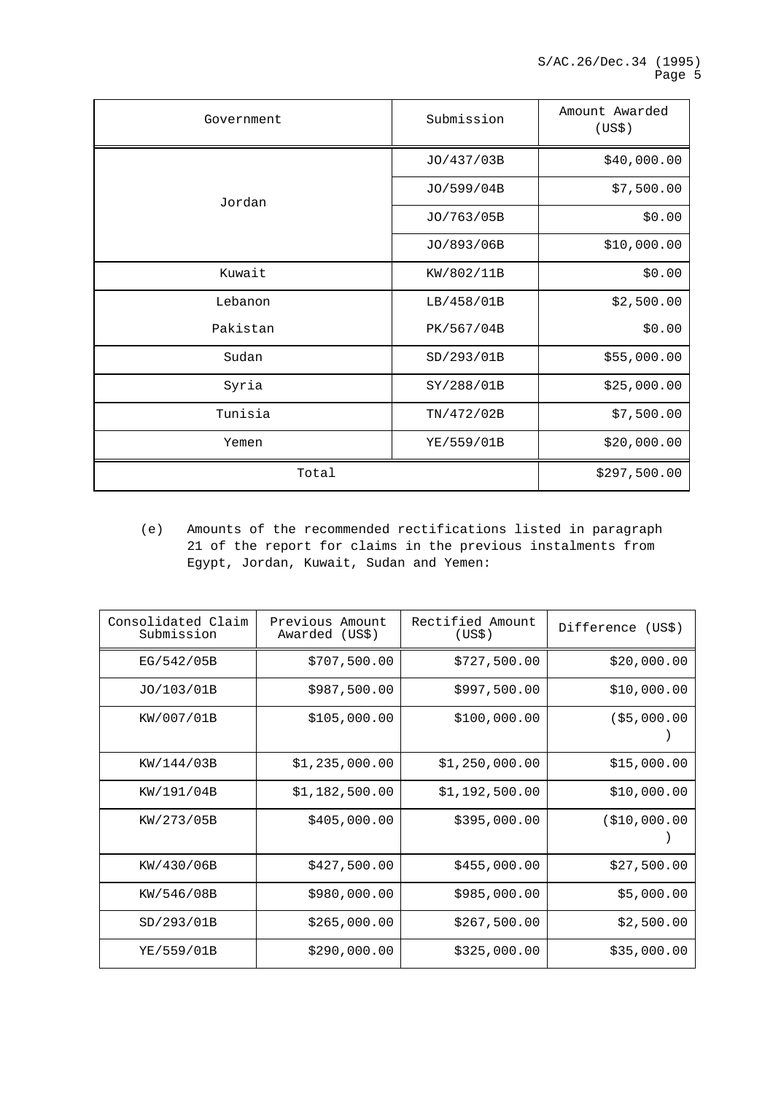| Government | Submission | Amount Awarded<br>(US\$) |
|------------|------------|--------------------------|
|            | JO/437/03B | \$40,000.00              |
| Jordan     | JO/599/04B | \$7,500.00               |
|            | JO/763/05B | \$0.00                   |
|            | JO/893/06B | \$10,000.00              |
| Kuwait     | KW/802/11B | \$0.00                   |
| Lebanon    | LB/458/01B | \$2,500.00               |
| Pakistan   | PK/567/04B | \$0.00                   |
| Sudan      | SD/293/01B | \$55,000.00              |
| Syria      | SY/288/01B | \$25,000.00              |
| Tunisia    | TN/472/02B | \$7,500.00               |
| Yemen      | YE/559/01B | \$20,000.00              |
| Total      |            | \$297,500.00             |

(e) Amounts of the recommended rectifications listed in paragraph 21 of the report for claims in the previous instalments from Egypt, Jordan, Kuwait, Sudan and Yemen:

| Consolidated Claim<br>Submission | Previous Amount<br>Awarded (US\$) | Rectified Amount<br>(US\$) | Difference (US\$) |
|----------------------------------|-----------------------------------|----------------------------|-------------------|
| EG/542/05B                       | \$707,500.00                      | \$727,500.00               | \$20,000.00       |
| JO/103/01B                       | \$987,500.00                      | \$997,500.00               | \$10,000.00       |
| KW/007/01B                       | \$105,000.00                      | \$100,000.00               | ( \$5,000.00]     |
| KW/144/03B                       | \$1,235,000.00                    | \$1,250,000.00             | \$15,000.00       |
| KW/191/04B                       | \$1,182,500.00                    | \$1,192,500.00             | \$10,000.00       |
| KW/273/05B                       | \$405,000.00                      | \$395,000.00               | ( \$10,000.00     |
| KW/430/06B                       | \$427,500.00                      | \$455,000.00               | \$27,500.00       |
| KW/546/08B                       | \$980,000.00                      | \$985,000.00               | \$5,000.00        |
| SD/293/01B                       | \$265,000.00                      | \$267,500.00               | \$2,500.00        |
| YE/559/01B                       | \$290,000.00                      | \$325,000.00               | \$35,000.00       |